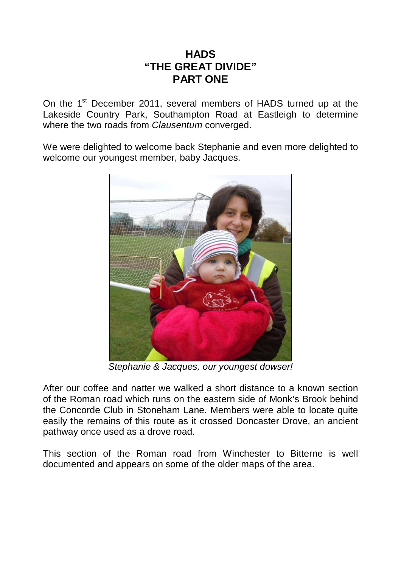## **HADS "THE GREAT DIVIDE" PART ONE**

On the 1<sup>st</sup> December 2011, several members of HADS turned up at the Lakeside Country Park, Southampton Road at Eastleigh to determine where the two roads from *Clausentum* converged.

We were delighted to welcome back Stephanie and even more delighted to welcome our youngest member, baby Jacques.



Stephanie & Jacques, our youngest dowser!

After our coffee and natter we walked a short distance to a known section of the Roman road which runs on the eastern side of Monk's Brook behind the Concorde Club in Stoneham Lane. Members were able to locate quite easily the remains of this route as it crossed Doncaster Drove, an ancient pathway once used as a drove road.

This section of the Roman road from Winchester to Bitterne is well documented and appears on some of the older maps of the area.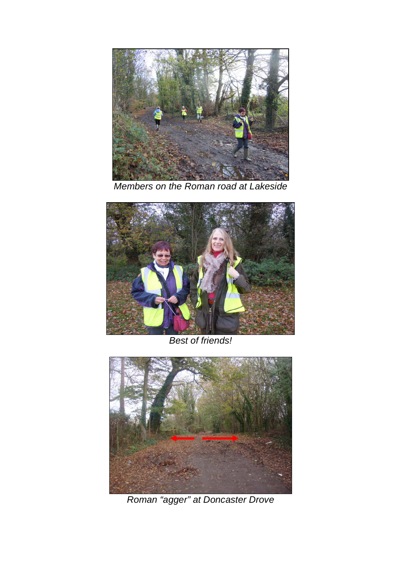

Members on the Roman road at Lakeside



Best of friends!



Roman "agger" at Doncaster Drove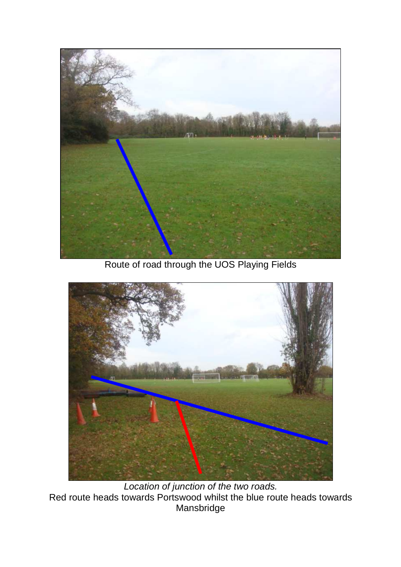

Route of road through the UOS Playing Fields



Location of junction of the two roads. Red route heads towards Portswood whilst the blue route heads towards Mansbridge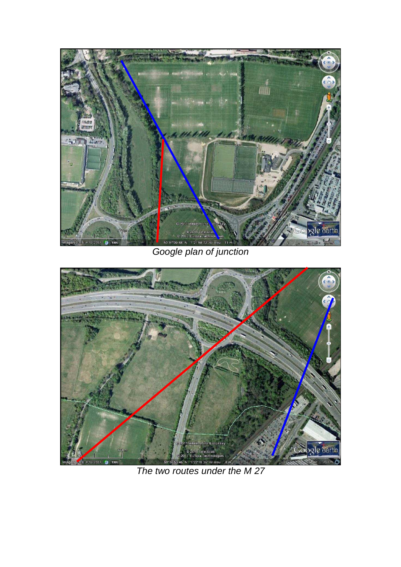

Google plan of junction



The two routes under the M 27